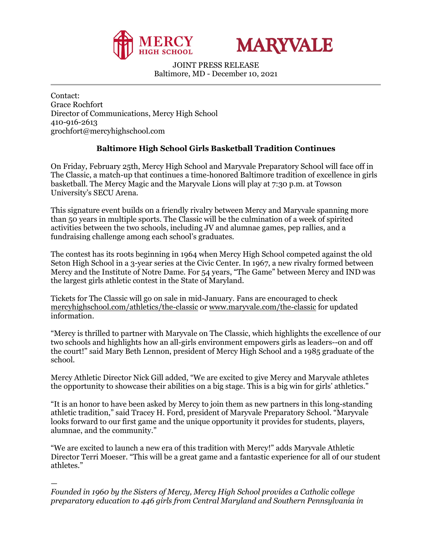



JOINT PRESS RELEASE Baltimore, MD - December 10, 2021

Contact: Grace Rochfort Director of Communications, Mercy High School 410-916-2613 grochfort@mercyhighschool.com

## **Baltimore High School Girls Basketball Tradition Continues**

On Friday, February 25th, Mercy High School and Maryvale Preparatory School will face off in The Classic, a match-up that continues a time-honored Baltimore tradition of excellence in girls basketball. The Mercy Magic and the Maryvale Lions will play at 7:30 p.m. at Towson University's SECU Arena.

This signature event builds on a friendly rivalry between Mercy and Maryvale spanning more than 50 years in multiple sports. The Classic will be the culmination of a week of spirited activities between the two schools, including JV and alumnae games, pep rallies, and a fundraising challenge among each school's graduates.

The contest has its roots beginning in 1964 when Mercy High School competed against the old Seton High School in a 3-year series at the Civic Center. In 1967, a new rivalry formed between Mercy and the Institute of Notre Dame. For 54 years, "The Game" between Mercy and IND was the largest girls athletic contest in the State of Maryland.

Tickets for The Classic will go on sale in mid-January. Fans are encouraged to check [mercyhighschool.com/athletics/the-classic](https://www.mercyhighschool.com/athletics/the-classic) or [www.maryvale.com/the-classic](http://www.maryvale.com/the-classic) for updated information.

"Mercy is thrilled to partner with Maryvale on The Classic, which highlights the excellence of our two schools and highlights how an all-girls environment empowers girls as leaders--on and off the court!" said Mary Beth Lennon, president of Mercy High School and a 1985 graduate of the school.

Mercy Athletic Director Nick Gill added, "We are excited to give Mercy and Maryvale athletes the opportunity to showcase their abilities on a big stage. This is a big win for girls' athletics."

"It is an honor to have been asked by Mercy to join them as new partners in this long-standing athletic tradition," said Tracey H. Ford, president of Maryvale Preparatory School. "Maryvale looks forward to our first game and the unique opportunity it provides for students, players, alumnae, and the community."

"We are excited to launch a new era of this tradition with Mercy!" adds Maryvale Athletic Director Terri Moeser. "This will be a great game and a fantastic experience for all of our student athletes."

— *Founded in 1960 by the Sisters of Mercy, Mercy High School provides a Catholic college preparatory education to 446 girls from Central Maryland and Southern Pennsylvania in*